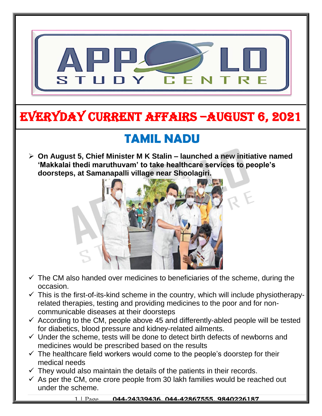

# EVERYDAY CURRENT AFFAIRS –AUGUST 6, 2021

-

# **TAMIL NADU**

 **On August 5, Chief Minister M K Stalin – launched a new initiative named 'Makkalai thedi maruthuvam' to take healthcare services to people's doorsteps, at Samanapalli village near Shoolagiri.**   $\overline{a}$ 



- $\checkmark$  The CM also handed over medicines to beneficiaries of the scheme, during the occasion.
- $\checkmark$  This is the first-of-its-kind scheme in the country, which will include physiotherapyrelated therapies, testing and providing medicines to the poor and for noncommunicable diseases at their doorsteps
- $\checkmark$  According to the CM, people above 45 and differently-abled people will be tested for diabetics, blood pressure and kidney-related ailments.
- $\checkmark$  Under the scheme, tests will be done to detect birth defects of newborns and medicines would be prescribed based on the results
- $\checkmark$  The healthcare field workers would come to the people's doorstep for their medical needs
- $\checkmark$  They would also maintain the details of the patients in their records.
- $\checkmark$  As per the CM, one crore people from 30 lakh families would be reached out under the scheme.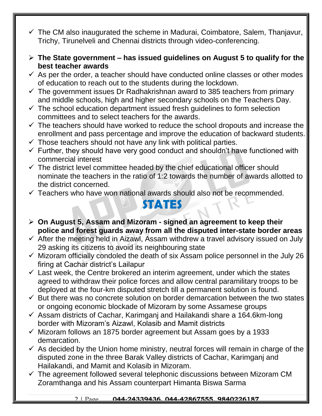- $\checkmark$  The CM also inaugurated the scheme in Madurai, Coimbatore, Salem, Thanjavur, Trichy, Tirunelveli and Chennai districts through video-conferencing.
- **The State government – has issued guidelines on August 5 to qualify for the best teacher awards**
- $\checkmark$  As per the order, a teacher should have conducted online classes or other modes of education to reach out to the students during the lockdown.
- $\checkmark$  The government issues Dr Radhakrishnan award to 385 teachers from primary and middle schools, high and higher secondary schools on the Teachers Day.
- $\checkmark$  The school education department issued fresh guidelines to form selection committees and to select teachers for the awards.
- $\checkmark$  The teachers should have worked to reduce the school dropouts and increase the enrollment and pass percentage and improve the education of backward students.
- $\checkmark$  Those teachers should not have any link with political parties.
- $\checkmark$  Further, they should have very good conduct and shouldn't have functioned with commercial interest
- $\checkmark$  The district level committee headed by the chief educational officer should nominate the teachers in the ratio of 1:2 towards the number of awards allotted to the district concerned.
- $\checkmark$  Teachers who have won national awards should also not be recommended.

#### **STATES**

- **On August 5, Assam and Mizoram - signed an agreement to keep their police and forest guards away from all the disputed inter-state border areas**
- $\checkmark$  After the meeting held in Aizawl, Assam withdrew a travel advisory issued on July 29 asking its citizens to avoid its neighbouring state
- $\checkmark$  Mizoram officially condoled the death of six Assam police personnel in the July 26 firing at Cachar district's Lailapur
- $\checkmark$  Last week, the Centre brokered an interim agreement, under which the states agreed to withdraw their police forces and allow central paramilitary troops to be deployed at the four-km disputed stretch till a permanent solution is found.
- $\checkmark$  But there was no concrete solution on border demarcation between the two states or ongoing economic blockade of Mizoram by some Assamese groups
- $\checkmark$  Assam districts of Cachar, Karimganj and Hailakandi share a 164.6km-long border with Mizoram's Aizawl, Kolasib and Mamit districts
- $\checkmark$  Mizoram follows an 1875 border agreement but Assam goes by a 1933 demarcation.
- $\checkmark$  As decided by the Union home ministry, neutral forces will remain in charge of the disputed zone in the three Barak Valley districts of Cachar, Karimganj and Hailakandi, and Mamit and Kolasib in Mizoram.
- $\checkmark$  The agreement followed several telephonic discussions between Mizoram CM Zoramthanga and his Assam counterpart Himanta Biswa Sarma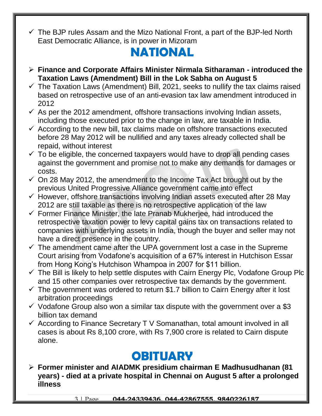$\checkmark$  The BJP rules Assam and the Mizo National Front, a part of the BJP-led North East Democratic Alliance, is in power in Mizoram

## **NATIONAL**

- **Finance and Corporate Affairs Minister Nirmala Sitharaman - introduced the Taxation Laws (Amendment) Bill in the Lok Sabha on August 5**
- $\checkmark$  The Taxation Laws (Amendment) Bill, 2021, seeks to nullify the tax claims raised based on retrospective use of an anti-evasion tax law amendment introduced in 2012
- $\checkmark$  As per the 2012 amendment, offshore transactions involving Indian assets, including those executed prior to the change in law, are taxable in India.
- $\checkmark$  According to the new bill, tax claims made on offshore transactions executed before 28 May 2012 will be nullified and any taxes already collected shall be repaid, without interest
- $\checkmark$  To be eligible, the concerned taxpayers would have to drop all pending cases against the government and promise not to make any demands for damages or costs.
- $\checkmark$  On 28 May 2012, the amendment to the Income Tax Act brought out by the previous United Progressive Alliance government came into effect
- $\checkmark$  However, offshore transactions involving Indian assets executed after 28 May 2012 are still taxable as there is no retrospective application of the law
- $\checkmark$  Former Finance Minister, the late Pranab Mukherjee, had introduced the retrospective taxation power to levy capital gains tax on transactions related to companies with underlying assets in India, though the buyer and seller may not have a direct presence in the country.
- $\checkmark$  The amendment came after the UPA government lost a case in the Supreme Court arising from Vodafone's acquisition of a 67% interest in Hutchison Essar from Hong Kong's Hutchison Whampoa in 2007 for \$11 billion.
- $\checkmark$  The Bill is likely to help settle disputes with Cairn Energy Plc, Vodafone Group Plc and 15 other companies over retrospective tax demands by the government.
- $\checkmark$  The government was ordered to return \$1.7 billion to Cairn Energy after it lost arbitration proceedings
- $\checkmark$  Vodafone Group also won a similar tax dispute with the government over a \$3 billion tax demand
- $\checkmark$  According to Finance Secretary T V Somanathan, total amount involved in all cases is about Rs 8,100 crore, with Rs 7,900 crore is related to Cairn dispute alone.

## **OBITUARY**

 **Former minister and AIADMK presidium chairman E Madhusudhanan (81 years) - died at a private hospital in Chennai on August 5 after a prolonged illness**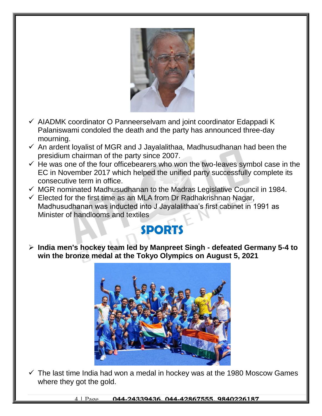

- $\checkmark$  AIADMK coordinator O Panneerselvam and joint coordinator Edappadi K Palaniswami condoled the death and the party has announced three-day mourning.
- $\checkmark$  An ardent loyalist of MGR and J Jayalalithaa, Madhusudhanan had been the presidium chairman of the party since 2007.
- $\checkmark$  He was one of the four officebearers who won the two-leaves symbol case in the EC in November 2017 which helped the unified party successfully complete its consecutive term in office.
- $\checkmark$  MGR nominated Madhusudhanan to the Madras Legislative Council in 1984.

 $\checkmark$  Elected for the first time as an MLA from Dr Radhakrishnan Nagar, Madhusudhanan was inducted into J Jayalalithaa's first cabinet in 1991 as Minister of handlooms and textiles

## **SPORTS**

 **India men's hockey team led by Manpreet Singh - defeated Germany 5-4 to win the bronze medal at the Tokyo Olympics on August 5, 2021**



 $\checkmark$  The last time India had won a medal in hockey was at the 1980 Moscow Games where they got the gold.